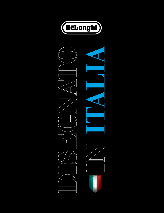

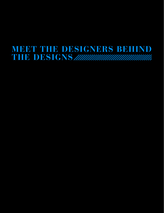# **Meet the Designers Behind the Designs**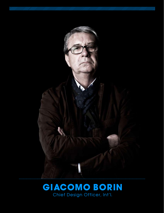

## **GIACOMO BORIN** Chief Design Officer, Int'l.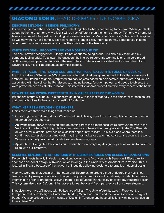### **GIACOMO BORIN, HEAD DESIGNER - DE'LONGHI S.P.A.**

### Describe De'Longhi's Design Philosophy:

It's an attitude more than philosophy. We're thinking about what's happening tomorrow. When you think about the home of tomorrow, we feel it will be very different than the home of today. Tomorrow's home will take you more into the past by including only essential objects. Many items in today's home will disappear as we know them. For example, televisions may no longer exist. Information may come to you in some other form that is more essential, such as the computer or the telephone.

#### Which De'Longhi products are you most proud of?

The one I haven't designed yet! Really, it's not about me being proud. It's about my team and my company feeling pride. To answer the question, the line we're currently working is one I'm very proud of. It conveys an opulent attitude with the use of basic materials such as steel and a streamlined form. Nevertheless, it is still approachable for most people.

#### What is it about the Italian culture that has created this focus on design?

It's in the Italian's DNA. In the 50's, there was a big industrial design movement in Italy that came out of architecture. Italian designers interpreted ordinary objects based on perspective, humanism, and values associated with Italy since the Renaissance, bringing beauty, function, power, and poetry to objects the were previously seen as strictly utilitarian. This interpretive approach overflowed to every aspect of the home.

#### How is Italian design different than in other parts of the world?

Italians are naturally curious. This curiosity, coupled with the fact that Italy is the epicenter for fashion, art, and creativity gives Italians a natural instinct for design.

#### What inspires a De'Longhi designer?

I think there are three main things that inspire us:

- 1. Observing the world around us We are continually taking cues from painting, fashion, art, and music to enrich our perspectives.
- 2. An avant-garde, forward-thinking attitude coming from the experiences we're surrounded with in the Venice region where De'Longhi is headquartered and where all our designers originate. The Biennale di Venzia, for example, provides an excellent opportunity to learn. This is a place where there is a continuous expression of art and design by the most advanced and innovative artists around the world. We are continually fascinated by what we see here every year.
- 3. Application Being able to express our observations in every day design projects allows us to have free reign with our creativity.

#### Describe De'Longhi's affiliations with design schools and design organizations:

De'Longhi invests heavily in design education. We were the first, along with Benetton & Electrolux to sponsor a school of design in Treviso, which belongs to the University of Architecture in Venice. This is located in Treviso because of the network of industries allowing designers to practice industrial design.

Also, we were the first, again with Benetton and Electrolux, to create a type of degree that has since been copied by many universities in Europe. This program requires industrial design students to have an internship in order to graduate, allowing them to be educated in the reality of every day industrial design. This system also gives De'Longhi first access to feedback and fresh perspective from these students.

In addition, we have affiliations with Politecnico of Milan, The Univ. of Architecture in Florence, the European Institute of Design of Barcelona, Madrid, Milan, and Torino and the Italian School of Design of Padua. We also collaborate with Institute of Design in Toronoto and have affiliations with industrial design firms in New York.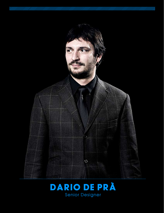

## **DARIO DE PRÀ** Senior Designer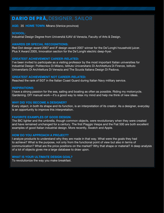### **DARIO DE PRÀ,** DESIGNER, SAILOR

AGE: 35 HOME TOWN: Mirano (Venice province)

### SCHOOL:

Industrial Design Degree from Universitá IUAV di Venezia, Faculty of Arts & Design.

### AWARDS OR SPECIAL RECOGNITIONS:

Red Dot design award 2007 and iF design award 2007 winner for the De'Longhi household juicer. Plus X Award 2005, Innovation section for the De'Longhi electric deep-fryer.

#### GREATEST ACHIEVEMENT CAREER-RELATED:

I've been invited to participate as a visiting professor by the most important Italian universities for Industrial Design: Politecnico Di Milano, Istituto Universitario Di Architettura Di Firenze, Istituto Universitario Di Architettura Di Venezia and The Scuola Italiana Design Di Padova.

#### GREATEST ACHIEVEMENT NOT CAREER-RELATED:

Reached the rank of SGT in the Italian Coast Guard during Italian Navy military service.

#### INSPIRATIONS:

I have a strong passion for the sea, sailing and boating as often as possible. Riding my motorcycle. Gardening. DIY manual work—it's a good way to relax my mind and help me think of new ideas.

#### WHY DID YOU BECOME A DESIGNER?

Every object, in both its shape and its function, is an interpretation of its creator. As a designer, everyday is an opportunity to improve this interpretation.

#### FAVORITE EXAMPLES OF GOOD DESIGN:

The BIC lighter and the umbrella, though common objects, were revolutionary when they were created and have remained unchanged for a century. The first Piaggio Vespa and the Fiat 500 are both excellent examples of good Italian industrial design. More recently, Swatch and Apple.

#### HOW DO YOU APPROACH A PROJECT?

I analyze products to understand why they are made in that way. What were the goals they had to achieve? What is the purpose, not only from the functional point of view but also in terms of communication? What are the price positions on the market? Why that shape or material? A deep analysis of a lot of objects gives me a large database to draw upon.

#### WHAT IS YOUR ULTIMATE DESIGN GOAL?

To revolutionize the way you make breakfast.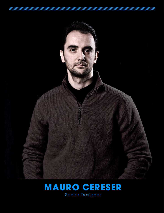

## **MAURO CERESER** Senior Designer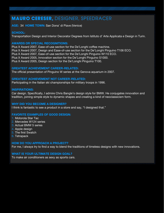## **MAURO CERESER,** DESIGNER, SPEEDRACER

AGE: 34 HOME TOWN: San Dona' di Piave (Venice)

#### SCHOOL:

Transportation Design and Interior Decorator Degrees from Istituto d' Arte Applicata e Design in Turin.

#### AWARDS OR SPECIAL RECOGNITIONS:

Plus X Award 2007, Ease-of-use section for the De'Longhi coffee machine. Plus X Award 2007, Design and Ease-of-use section for the De'Longhi Pinguino T106 ECO. Plus X Award 2007, Ease-of-use section for the De'Longhi Pinguino W110 ECO. Plus X Award 2005, Innovation section for the De'Longhi Pinguino S1000. Plus X Award 2005, Design section for the De'Longhi Pinguino T100.

#### GREATEST ACHIEVEMENT CAREER-RELATED:

The official presentation of Pinguino W series at the Genova aquarium in 2007.

#### GREATEST ACHIEVEMENT NOT CAREER-RELATED:

Participating in the Italian ski championships for military troops in 1996.

#### INSPIRATIONS:

Car design. Specifically, I admire Chris Bangle's design style for BMW. He conjugates innovation and tradition, joining simple style to dynamic shapes and creating a kind of neoclassicism form.

#### WHY DID YOU BECOME A DESIGNER?

I think is fantastic to see a product in a store and say, "I designed that."

#### FAVORITE EXAMPLES OF GOOD DESIGN:

- 1. Motorola Star Tac
- 2. Mercedes W124 series
- 3. Actual BMW 5 series
- 4. Apple design
- 5. The first Swatch
- 6. Tetrapack

#### HOW DO YOU APPROACH A PROJECT?

For me, I always try to find a way to blend the traditions of timeless designs with new innovations.

#### WHAT IS YOUR ULTIMATE DESIGN GOAL?

To make air conditioners as sexy as sports cars.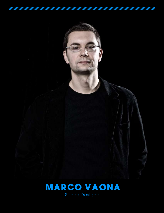

## **MARCO VAONA** Senior Designer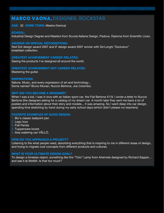### **MARCO VAONA,** DESIGNER, ROCKSTAR

#### AGE: 32 HOME TOWN: Mestre (Venice)

#### SCHOOL:

Industrial Design Degree and Masters from Scuola Italiana Design, Padova. Diploma from Scientific Liceo.

#### AWARDS OR SPECIAL RECOGNITIONS:

Red Dot design award 2007 and iF design award 2007 winner with De'Longhi "Esclusivo" breakfast collection.

#### GREATEST ACHIEVEMENT CAREER-RELATED:

Seeing the products I've designed all around the world.

### GREATEST ACHIEVEMENT NOT CAREER-RELATED:

Mastering the guitar.

#### INSPIRATIONS:

Nature, Music, and every expression of art and technology... Some names? Bruno Munari, Nuccio Bertone, Joe Colombo.

#### WHY DID YOU BECOME A DESIGNER?

When I was a kid, I was in love with an Italian sport car, the Fiat Bertone X1/9. I wrote a letter to Nuccio Bertone (the designer) asking for a catalog of my dream car. A month later they sent me back a lot of posters and information about their story and models... it was amazing. So I went deep into car design, spending time sketching by hand during my early school days (which didn't please my teachers).

#### FAVORITE EXAMPLES OF GOOD DESIGN:

- 1. Bic's classic ballpoint pen
- 2. Lego toys
- 3. Fiat Panda
- 4. Tupperware bowls
- 5. Ikea watering can VÅLLÖ.

#### HOW DO YOU APPROACH A PROJECT?

Listening to the what people need, absorbing everything that is inspiring to me in different areas of design, and trying to migrate cool concepts from different products and cultures.

#### WHAT IS YOUR ULTIMATE DESIGN GOAL?

To design a timeless object, something like the "Tizio" Lamp from Artemide designed by Richard Sapper... and see it at MoMA. Is that too much?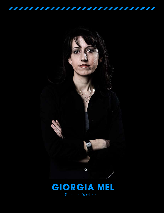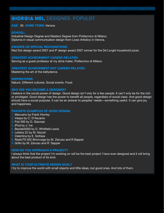## **GIORGIA MEL,** DESIGNER, POPULIST

#### AGE: 30 HOME TOWN: Verona

#### SCHOOL:

Industrial Design Degree and Masters Degree from Politecnico di Milano. Diploma in visual communication design from Liceo Artistico in Verona.

#### AWARDS OR SPECIAL RECOGNITIONS:

Red Dot design award 2007 and iF design award 2007 winner for the De'Longhi household juicer.

#### GREATEST ACHIEVEMENT CAREER-RELATED:

Serving as a guest professor at my alma mater, Politecnico di Milano.

#### GREATEST ACHIEVEMENT NOT CAREER-RELATED:

Mastering the art of the bellydance.

#### INSPIRATIONS:

Nature. Different cultures. Social events. Food.

#### WHY DID YOU BECOME A DESIGNER?

I believe in the social power of design. Good design isn't only for a few people. It can't only be for the rich or privileged. Good design has the power to benefit all people, regardless of social class. And good design should have a social purpose. It can be an answer to peoples' needs—something useful. It can give joy and happiness.

#### FAVORITE EXAMPLES OF GOOD DESIGN:

- 1. Meccano by Frank Hornby
- 2. Vespa by C. D'Ascanio
- 3. Fiat 500 by D. Giacosa
- 4. iPod by J. Ive
- 5. Beolab5000 by D. Whitfield Lewis
- 6. Lettera 22 by M. Nizzoli
- 7. Valentina by E. Sottsas
- 8. RadioTS 502 Brionvega by M. Zanuso and R.Sapper
- 9. Grillo by M. Zanuso and R. Sapper

#### HOW DO YOU APPROACH A PROJECT?

I always think that the project I'm working on will be the best project I have ever designed and it will bring about the best product of its kind.

#### WHAT IS YOUR ULTIMATE DESIGN GOAL?

I try to improve the world with small objects and little ideas, but good ones. And lots of them.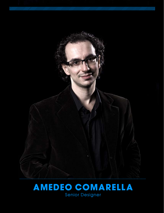

## **AMEDEO COMARELLA** Senior Designer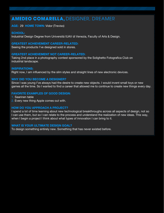### **AMEDEO COMARELLA,** DESIGNER, DREAMER

#### AGE: 29 HOME TOWN: Vidor (Treviso)

#### SCHOOL:

Industrial Design Degree from Universitá IUAV di Venezia, Faculty of Arts & Design.

#### GREATEST ACHIEVEMENT CAREER-RELATED:

Seeing the products I've designed sold in stores.

#### GREATEST ACHIEVEMENT NOT CAREER-RELATED:

Taking 2nd place in a photography contest sponsored by the Solighetto Fotografica Club on industrial landscape.

#### INSPIRATIONS:

Right now, I am influenced by the slim styles and straight lines of new electronic devices.

#### WHY DID YOU BECOME A DESIGNER?

Since I was young I've always had the desire to create new objects. I would invent small toys or new games all the time. So I wanted to find a career that allowed me to continue to create new things every day.

#### FAVORITE EXAMPLES OF GOOD DESIGN:

- 1. Saarinen table
- 2. Every new thing Apple comes out with.

#### HOW DO YOU APPROACH A PROJECT?

I spend a lot of time learning about new technological breakthroughs across all aspects of design, not so I can use them, but so I can relate to the process and understand the realization of new ideas. This way, when I begin a project I think about what types of innovation I can bring to it.

#### WHAT IS YOUR ULTIMATE DESIGN GOAL?

To design something entirely new. Something that has never existed before.